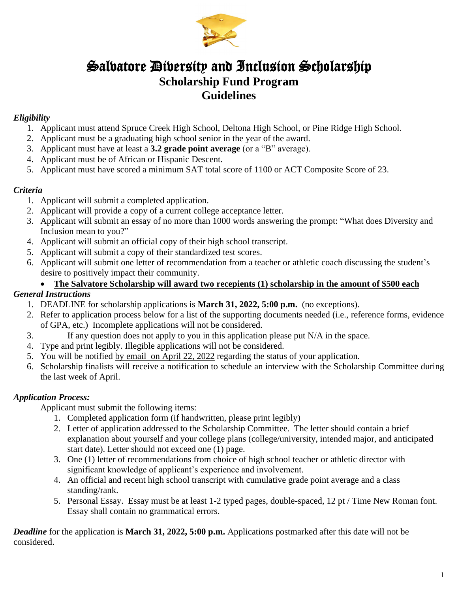

## Salvatore Diversity and Inclusion Scholarship **Scholarship Fund Program Guidelines**

#### *Eligibility*

- 1. Applicant must attend Spruce Creek High School, Deltona High School, or Pine Ridge High School.
- 2. Applicant must be a graduating high school senior in the year of the award.
- 3. Applicant must have at least a **3.2 grade point average** (or a "B" average).
- 4. Applicant must be of African or Hispanic Descent.
- 5. Applicant must have scored a minimum SAT total score of 1100 or ACT Composite Score of 23.

#### *Criteria*

- 1. Applicant will submit a completed application.
- 2. Applicant will provide a copy of a current college acceptance letter.
- 3. Applicant will submit an essay of no more than 1000 words answering the prompt: "What does Diversity and Inclusion mean to you?"
- 4. Applicant will submit an official copy of their high school transcript.
- 5. Applicant will submit a copy of their standardized test scores.
- 6. Applicant will submit one letter of recommendation from a teacher or athletic coach discussing the student's desire to positively impact their community.

#### • **The Salvatore Scholarship will award two recepients (1) scholarship in the amount of \$500 each**

#### *General Instructions*

- 1. DEADLINE for scholarship applications is **March 31, 2022, 5:00 p.m.** (no exceptions).
- 2. Refer to application process below for a list of the supporting documents needed (i.e., reference forms, evidence of GPA, etc.) Incomplete applications will not be considered.
- 3. If any question does not apply to you in this application please put N/A in the space.
- 4. Type and print legibly. Illegible applications will not be considered.
- 5. You will be notified by email on April 22, 2022 regarding the status of your application.
- 6. Scholarship finalists will receive a notification to schedule an interview with the Scholarship Committee during the last week of April.

#### *Application Process:*

Applicant must submit the following items:

- 1. Completed application form (if handwritten, please print legibly)
- 2. Letter of application addressed to the Scholarship Committee. The letter should contain a brief explanation about yourself and your college plans (college/university, intended major, and anticipated start date). Letter should not exceed one (1) page.
- 3. One (1) letter of recommendations from choice of high school teacher or athletic director with significant knowledge of applicant's experience and involvement.
- 4. An official and recent high school transcript with cumulative grade point average and a class standing/rank.
- 5. Personal Essay. Essay must be at least 1-2 typed pages, double-spaced, 12 pt / Time New Roman font. Essay shall contain no grammatical errors.

*Deadline* for the application is **March 31, 2022, 5:00 p.m.** Applications postmarked after this date will not be considered.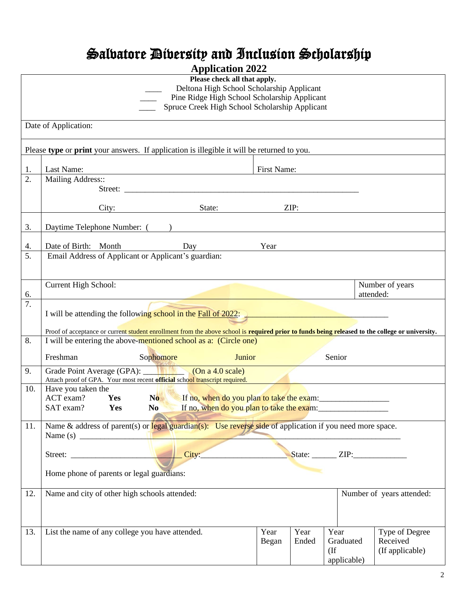# Salvatore Diversity and Inclusion Scholarship

| <b>Application 2022</b> |                                                                                                                                                 |             |       |               |                           |  |
|-------------------------|-------------------------------------------------------------------------------------------------------------------------------------------------|-------------|-------|---------------|---------------------------|--|
|                         | Please check all that apply.                                                                                                                    |             |       |               |                           |  |
|                         | Deltona High School Scholarship Applicant                                                                                                       |             |       |               |                           |  |
|                         | Pine Ridge High School Scholarship Applicant                                                                                                    |             |       |               |                           |  |
|                         | Spruce Creek High School Scholarship Applicant                                                                                                  |             |       |               |                           |  |
|                         | Date of Application:                                                                                                                            |             |       |               |                           |  |
|                         |                                                                                                                                                 |             |       |               |                           |  |
|                         | Please type or print your answers. If application is illegible it will be returned to you.                                                      |             |       |               |                           |  |
|                         |                                                                                                                                                 |             |       |               |                           |  |
| 1.                      | Last Name:                                                                                                                                      | First Name: |       |               |                           |  |
| 2.                      | Mailing Address::                                                                                                                               |             |       |               |                           |  |
|                         |                                                                                                                                                 |             |       |               |                           |  |
|                         |                                                                                                                                                 |             |       |               |                           |  |
|                         | City:<br>State:                                                                                                                                 |             | ZIP:  |               |                           |  |
| 3.                      | Daytime Telephone Number: ()                                                                                                                    |             |       |               |                           |  |
| 4.                      | Date of Birth: Month<br>Day                                                                                                                     | Year        |       |               |                           |  |
| 5.                      | Email Address of Applicant or Applicant's guardian:                                                                                             |             |       |               |                           |  |
|                         |                                                                                                                                                 |             |       |               |                           |  |
|                         |                                                                                                                                                 |             |       |               |                           |  |
|                         | Current High School:                                                                                                                            |             |       |               | Number of years           |  |
| 6.                      |                                                                                                                                                 |             |       |               | attended:                 |  |
| $\overline{7}$ .        |                                                                                                                                                 |             |       |               |                           |  |
|                         | I will be attending the following school in the $Fall of 2022$ .                                                                                |             |       |               |                           |  |
|                         | Proof of acceptance or current student enrollment from the above school is required prior to funds being released to the college or university. |             |       |               |                           |  |
| 8.                      | I will be entering the above-mentioned school as a: (Circle one)                                                                                |             |       |               |                           |  |
|                         | Freshman                                                                                                                                        |             |       | Senior        |                           |  |
|                         | Junior<br>Sophomore                                                                                                                             |             |       |               |                           |  |
| 9.                      | Grade Point Average (GPA): (On a 4.0 scale)<br>Attach proof of GPA. Your most recent official school transcript required.                       |             |       |               |                           |  |
| 10.                     | Have you taken the                                                                                                                              |             |       |               |                           |  |
|                         | $ACT exam?$ Yes<br>If no, when do you plan to take the exam:<br>No.                                                                             |             |       |               |                           |  |
|                         | SAT exam?<br>Yes<br>N <sub>0</sub>                                                                                                              |             |       |               |                           |  |
|                         |                                                                                                                                                 |             |       |               |                           |  |
| 11.                     | Name & address of parent(s) or legal guardian(s): Use reverse side of application if you need more space.                                       |             |       |               |                           |  |
|                         |                                                                                                                                                 |             |       |               |                           |  |
|                         | City:                                                                                                                                           |             |       | State: $ZIP:$ |                           |  |
|                         |                                                                                                                                                 |             |       |               |                           |  |
|                         | Home phone of parents or legal guardians:                                                                                                       |             |       |               |                           |  |
|                         |                                                                                                                                                 |             |       |               |                           |  |
| 12.                     | Name and city of other high schools attended:                                                                                                   |             |       |               | Number of years attended: |  |
|                         |                                                                                                                                                 |             |       |               |                           |  |
|                         |                                                                                                                                                 |             |       |               |                           |  |
| 13.                     | List the name of any college you have attended.                                                                                                 | Year        | Year  | Year          | Type of Degree            |  |
|                         |                                                                                                                                                 | Began       | Ended | Graduated     | Received                  |  |
|                         |                                                                                                                                                 |             |       | $($ If        | (If applicable)           |  |
|                         |                                                                                                                                                 |             |       | applicable)   |                           |  |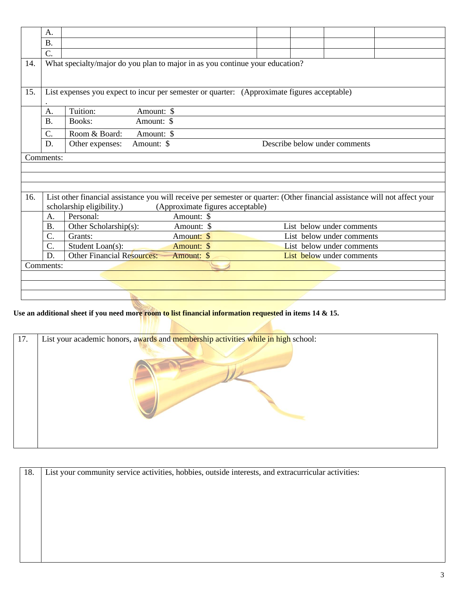|     | A.                                                                           |                                                                                                                            |                                  |  |  |                               |  |
|-----|------------------------------------------------------------------------------|----------------------------------------------------------------------------------------------------------------------------|----------------------------------|--|--|-------------------------------|--|
|     | <b>B.</b>                                                                    |                                                                                                                            |                                  |  |  |                               |  |
|     | $\overline{C}$ .                                                             |                                                                                                                            |                                  |  |  |                               |  |
| 14. | What specialty/major do you plan to major in as you continue your education? |                                                                                                                            |                                  |  |  |                               |  |
| 15. |                                                                              | List expenses you expect to incur per semester or quarter: (Approximate figures acceptable)                                |                                  |  |  |                               |  |
|     | A.                                                                           | Tuition:<br>Amount: \$                                                                                                     |                                  |  |  |                               |  |
|     | B.                                                                           | Books:<br>Amount: \$                                                                                                       |                                  |  |  |                               |  |
|     | $C$ .                                                                        | Room & Board:<br>Amount: \$                                                                                                |                                  |  |  |                               |  |
|     | D.                                                                           | Other expenses:<br>Amount: \$                                                                                              |                                  |  |  | Describe below under comments |  |
|     | Comments:                                                                    |                                                                                                                            |                                  |  |  |                               |  |
|     |                                                                              |                                                                                                                            |                                  |  |  |                               |  |
|     |                                                                              |                                                                                                                            |                                  |  |  |                               |  |
|     |                                                                              |                                                                                                                            |                                  |  |  |                               |  |
| 16. |                                                                              | List other financial assistance you will receive per semester or quarter: (Other financial assistance will not affect your |                                  |  |  |                               |  |
|     |                                                                              | scholarship eligibility.)<br>Personal:                                                                                     | (Approximate figures acceptable) |  |  |                               |  |
|     | A.<br><b>B.</b>                                                              | Amount: \$<br>Other Scholarship(s):<br>Amount: \$                                                                          |                                  |  |  | List below under comments     |  |
|     | C.                                                                           | Grants:<br>Amount: \$                                                                                                      |                                  |  |  | List below under comments     |  |
|     | $C$ .                                                                        | Student Loan(s):<br>Amount: \$                                                                                             |                                  |  |  | List below under comments     |  |
|     | D.                                                                           | <b>Other Financial Resources:</b><br>Amount: \$                                                                            |                                  |  |  | List below under comments     |  |
|     | Comments:                                                                    |                                                                                                                            |                                  |  |  |                               |  |
|     |                                                                              |                                                                                                                            |                                  |  |  |                               |  |
|     |                                                                              |                                                                                                                            |                                  |  |  |                               |  |
|     |                                                                              |                                                                                                                            |                                  |  |  |                               |  |
|     |                                                                              |                                                                                                                            |                                  |  |  |                               |  |

### **Use an additional sheet if you need more room to list financial information requested in items 14 & 15.**

| List your academic honors, awards and membership activities while in high school:<br>17. |  |
|------------------------------------------------------------------------------------------|--|
|                                                                                          |  |

| 18. | List your community service activities, hobbies, outside interests, and extracurricular activities: |
|-----|-----------------------------------------------------------------------------------------------------|
|     |                                                                                                     |
|     |                                                                                                     |
|     |                                                                                                     |
|     |                                                                                                     |
|     |                                                                                                     |